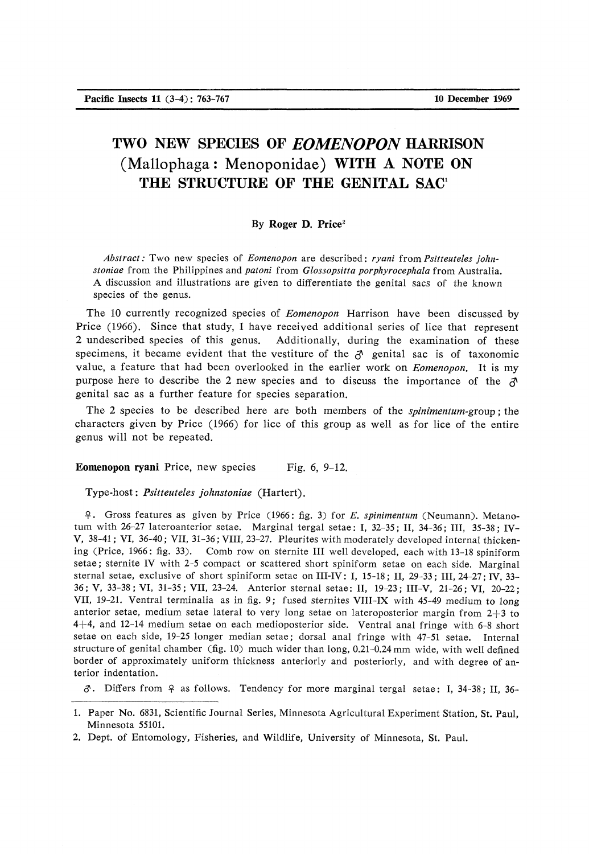# TWO NEW SPECIES OF *EOMENOPON* HARRISON (Mallophaga: Menoponidae) WITH A NOTE ON THE STRUCTURE OF THE GENITAL SAC<sup>1</sup>

### By **Roger D. Price<sup>2</sup>**

*Abstract:* Two new species of *Eomenopon* are described: *ryani* from *Psitteuteles johnstoniae* from the Philippines and *patoni* from *Glossopsitta porphyrocephala* from Australia. A discussion and illustrations are given to differentiate the genital sacs of the known species of the genus.

The 10 currently recognized species of *Eomenopon* Harrison have been discussed by Price (1966). Since that study, I have received additional series of lice that represent 2 undescribed species of this genus. Additionally, during the examination of these specimens, it became evident that the vestiture of the  $\sigma$  genital sac is of taxonomic value, a feature that had been overlooked in the earlier work on *Eomenopon.* It is my purpose here to describe the 2 new species and to discuss the importance of the  $\beta$ genital sac as a further feature for species separation.

The 2 species to be described here are both members of the *spinimentum-group;* the characters given by Price (1966) for lice of this group as well as for lice of the entire genus will not be repeated.

**Eomenopon ryani** Price, new species Fig. 6, 9-12.

Type-host: *Psitteuteles johnstoniae* (Hartert).

£. Gross features as given by Price (1966: fig. 3) for *E. spinimentum* (Neumann). Metanotum with 26-27 lateroanterior setae. Marginal tergal setae: I, 32-35; II, 34-36; IH, 35-38; IV-V, 38-41; VI, 36-40; Vll, 31-36; VIII, 23-27. Pleurites with moderately developed internal thickening (Price, 1966: fig. 33). Comb row on sternite III well developed, each with 13-18 spiniform setae; sternite IV with 2-5 compact or scattered short spiniform setae on each side. Marginal sternal setae, exclusive of short spiniform setae on III-IV: I, 15-18; II, 29-33; III, 24-27; IV, 33- 36; V, 33-38; VI, 31-35; Vll, 23-24. Anterior sternal setae: II, 19-23; III-V, 21-26; VI, 20-22; Vll, 19-21. Ventral terminalia as in fig. 9; fused sternites VIII-IX with 45-49 medium to long anterior setae, medium setae lateral to very long setae on lateroposterior margin from  $2+3$  to 4+4, and 12-14 medium setae on each medioposterior side. Ventral anal fringe with 6-8 short setae on each side, 19-25 longer median setae; dorsal anal fringe with 47-51 setae. Internal structure of genital chamber (fig. 10) much wider than long, 0.21-0.24 mm wide, with well defined border of approximately uniform thickness anteriorly and posteriorly, and with degree of anterior indentation.

 $\sigma$ . Differs from  $\varphi$  as follows. Tendency for more marginal tergal setae: I, 34-38; II, 36-

<sup>1.</sup> Paper No. 6831, Scientific Journal Series, Minnesota Agricultural Experiment Station, St. Paul, Minnesota 55101.

<sup>2.</sup> Dept, of Entomology, Fisheries, and Wildlife, University of Minnesota, St. Paul.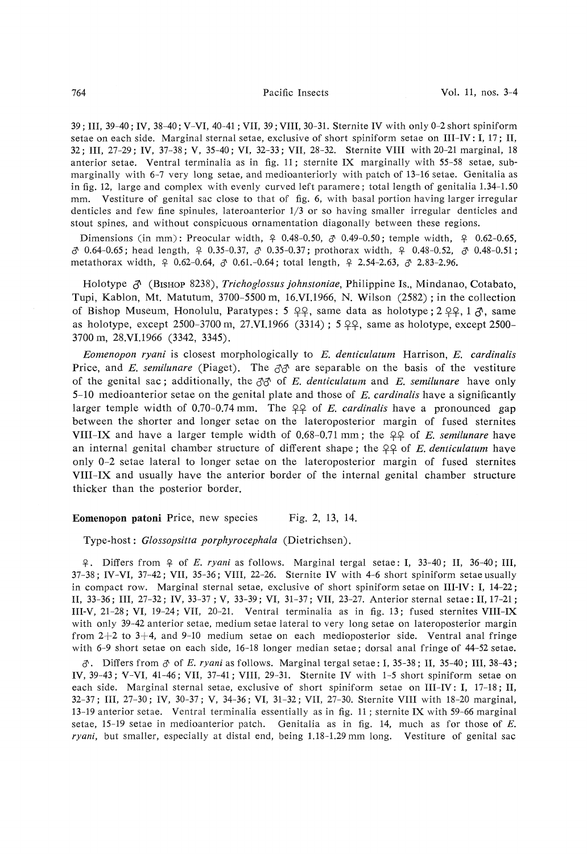39; III, 39-40; IV, 38-40; V-VI, 40-41; Vll, 39; VIII, 30-31. Sternite IV with only 0-2 short spiniform setae on each side. Marginal sternal setae, exclusive of short spiniform setae on III-IV: I, 17; II, 32; III, 27-29; IV, 37-38; V, 35-40; VI, 32-33; Vll, 28-32. Sternite VIII with 20-21 marginal, 18 anterior setae. Ventral terminalia as in fig. ll ; sternite IX marginally with 55-58 setae, submarginally with 6-7 very long setae, and medioanteriorly with patch of 13-16 setae. Genitalia as in fig. 12, large and complex with evenly curved left paramere; total length of genitalia 1.34-1.50 mm. Vestiture of genital sac close to that of fig. 6, with basal portion having larger irregular denticles and few fine spinules, lateroanterior 1/3 or so having smaller irregular denticles and stout spines, and without conspicuous ornamentation diagonally between these regions.

Dimensions (in mm): Preocular width,  $\varphi$  0.48-0.50,  $\varphi$  0.49-0.50; temple width,  $\varphi$  0.62-0.65,  $\delta$  0.64-0.65; head length,  $\epsilon$  0.35-0.37,  $\delta$  0.35-0.37; prothorax width,  $\epsilon$  0.48-0.52,  $\delta$  0.48-0.51; metathorax width,  $9 \t 0.62-0.64$ ,  $7 \t 0.61-0.64$ ; total length,  $9 \t 2.54-2.63$ ,  $7 \t 2.83-2.96$ .

Holotype *\$* (BISHOP 8238), *Trichoglossus johnstoniae,* Philippine Is., Mindanao, Cotabato, Tupi, Kablon, Mt. Matutum,  $3700-5500$  m,  $16$ , VI,  $1966$ , N. Wilson  $(2582)$ ; in the collection of Bishop Museum, Honolulu, Paratypes: 5 *QQ,* same data as holotype; 2 *QQ,* 1 <3\ same as holotype, except 2500-3700 rn, 27.VI.1966 (3314) ; 5 *QQ,* same as holotype, except 2500- 3700 m, 28.VI.1966 (3342, 3345).

*Eomenopon ryani* is closest morphologically to *E. denticulatum* Harrison, *E. cardinalis*  Price, and *E. semilunare* (Piaget). The *\$Q* are separable on the basis of the vestiture of the genital sac; additionally, the  $\partial \mathcal{S}$  of *E. denticulatum* and *E. semilunare* have only 5-10 medioanterior setae on the genital plate and those of *E. cardinalis* have a significantly larger temple width of 0.70-0.74 mm. The *QQ* of *E. cardinalis* have a pronounced gap between the shorter and longer setae on the lateroposterior margin of fused sternites VIII-IX and have a larger temple width of 0.68-0.71 mm; the *QQ* of *E. semilunare* have an internal genital chamber structure of different shape; the *QQ* of *E. denticulatum* have only 0-2 setae lateral to longer setae on the lateroposterior margin of fused sternites VIII-IX and usually have the anterior border of the internal genital chamber structure thicker than the posterior border.

#### Eomenopon patoni Price, new species Fig. 2, 13, 14.

## Type-host: *Glossopsitta porphyrocephala* (Dietrichsen).

£. Differs from £ of *E. ryani* as follows. Marginal tergal setae: I, 33-40; II, 36-40; III, 37-38; IV-VI, 37-42; Vll, 35-36; VIII, 22-26. Sternite IV with 4-6 short spiniform setae usually in compact row. Marginal sternal setae, exclusive of short spiniform setae on III-IV: I, 14-22; II, 33-36; III, 27-32; IV, 33-37 ; V, 33-39; VI, 31-37; Vll, 23-27. Anterior sternal setae: II, 17-21; III-V, 21-28; VI, 19-24; Vll, 20-21. Ventral terminalia as in fig. 13; fused sternites VIII-IX with only 39-42 anterior setae, medium setae lateral to very long setae on lateroposterior margin from  $2+2$  to  $3+4$ , and  $9-10$  medium setae on each medioposterior side. Ventral anal fringe with 6-9 short setae on each side, 16-18 longer median setae; dorsal anal fringe of 44-52 setae.

 $\beta$ . Differs from  $\beta$  of *E. ryani* as follows. Marginal tergal setae: I, 35-38; II, 35-40; III, 38-43; IV, 39-43; V-VI, 41-46; Vll, 37-41; VIII, 29-31. Sternite IV with 1-5 short spiniform setae on each side. Marginal sternal setae, exclusive of short spiniform setae on III-IV: I, 17-18; II, 32-37; III, 27-30; IV, 30-37; V, 34-36; VI, 31-32; Vll, 27-30. Sternite VIII with 18-20 marginal, 13-19 anterior setae. Ventral terminalia essentially as in fig. ll ; sternite IX with 59-66 marginal setae, 15-19 setae in medioanterior patch. Genitalia as in fig. 14, much as for those of *E. ryani,* but smaller, especially at distal end, being 1.18-1.29 mm long. Vestiture of genital sac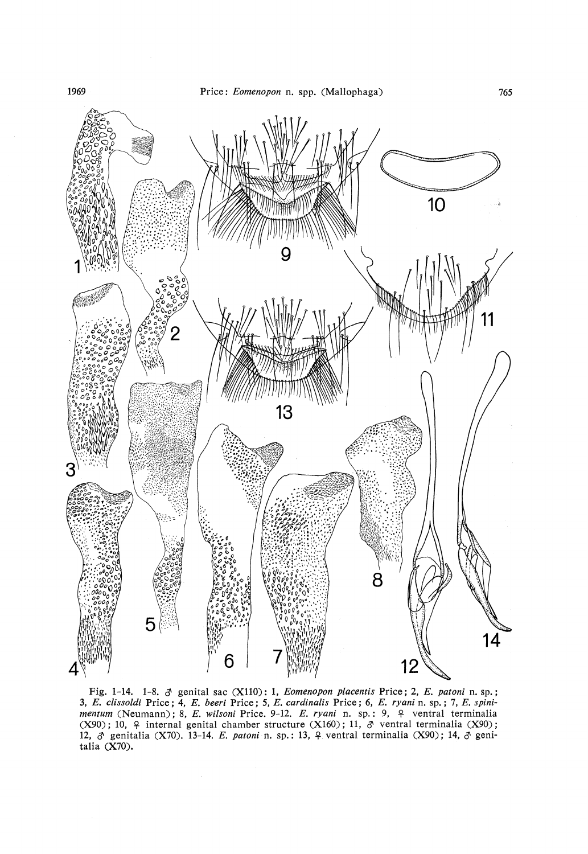

Fig. 1-14. 1-8. tf genital sac (X110): 1, *Eomenopon placentis* Price; 2, *E. patoni* n. sp.; 3, *E. clissoldi* Price; 4, *E. beeri* Price; 5, *E. cardinalis* Price; 6, *E. ryani* n. sp.; 7, *E. spinimentum* (Neumann); 8, *E. wilsoni* Price. 9-12. *E. ryani* n. sp.: 9, £ ventral terminalia  $(X90)$ ; 10,  $\varphi$  internal genital chamber structure  $(X160)$ ; 11,  $\varphi$  ventral terminalia  $(X90)$ ; 12,  $\delta$  genitalia (X70). 13-14. *E. patoni* n. sp.: 13,  $\beta$  ventral terminalia (X90); 14,  $\delta$  genitalia (X70).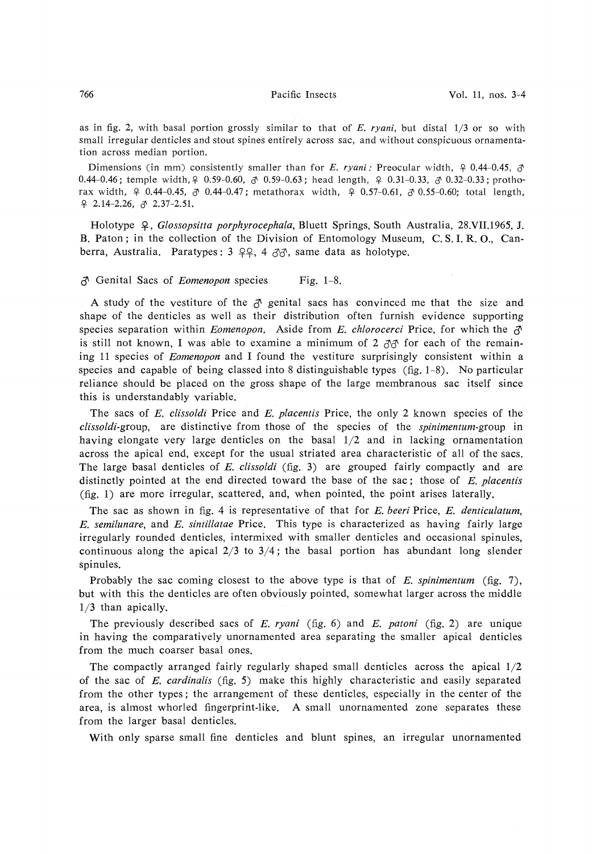as in fig. 2, with basal portion grossly similar to that of *E. ryani,* but distal 1/3 or so with small irregular denticles and stout spines entirely across sac, and without conspicuous ornamentation across median portion.

Dimensions (in mm) consistently smaller than for *E. ryani*: Preocular width,  $\varphi$  0.44-0.45,  $\varphi$ 0.44-0.46; temple width,  $\frac{1}{7}$  0.59-0.60,  $\frac{1}{7}$  0.59-0.63; head length,  $\frac{1}{7}$  0.31-0.33,  $\frac{1}{7}$  0.32-0.33; prothorax width,  $\frac{1}{7}$  0.44-0.45,  $\frac{1}{6}$  0.44-0.47; metathorax width,  $\frac{1}{7}$  0.57-0.61,  $\frac{1}{6}$  0.55-0.60; total length,  $9$  2.14-2.26,  $\delta$  2.37-2.51.

Holotype  $\varphi$ , *Glossopsitta porphyrocephala*, Bluett Springs, South Australia, 28.VII.1965, J. B. Paton; in the collection of the Division of Entomology Museum, C. S. I. R. O., Canberra, Australia. Paratypes: 3 ££ , 4 *tftf,* same data as holotype.

*\$* Genital Sacs of *Eomenopon* species Fig. 1-8.

A study of the vestiture of the  $\beta$  genital sacs has convinced me that the size and shape of the denticles as well as their distribution often furnish evidence supporting species separation within *Eomenopon.* Aside from *E. chlorocerci* Price, for which the *\$*  is still not known, I was able to examine a minimum of 2  $\partial \mathcal{S}$  for each of the remaining ll species of *Eomenopon* and I found the vestiture surprisingly consistent within a species and capable of being classed into 8 distinguishable types  $(fig. 1-8)$ . No particular reliance should be placed on the gross shape of the large membranous sac itself since this is understandably variable.

The sacs of *E. clissoldi* Price and *E. placentis* Price, the only 2 known species of the *clissoldi-group,* are distinctive from those of the species of the *spinimentum-group* in having elongate very large denticles on the basal 1/2 and in lacking ornamentation across the apical end, except for the usual striated area characteristic of all of the sacs. The large basal denticles of *E. clissoldi* (fig. 3) are grouped fairly compactly and are distinctly pointed at the end directed toward the base of the sac; those of *E. placentis*  (fig. 1) are more irregular, scattered, and, when pointed, the point arises laterally,

The sac as shown in fig. 4 is representative of that for *E. beeri* Price, *E. denticulatum, E. semilunare,* and *E. sintillatae* Price. This type is characterized as having fairly large irregularly rounded denticles, intermixed with smaller denticles and occasional spinules, continuous along the apical  $2/3$  to  $3/4$ ; the basal portion has abundant long slender spinules.

Probably the sac coming closest to the above type is that of *E. spinimentum* (fig. 7), but with this the denticles are often obviously pointed, somewhat larger across the middle 1/3 than apically.

The previously described sacs of *E. ryani* (fig. 6) and *E. patoni* (fig. 2) are unique in having the comparatively unornamented area separating the smaller apical denticles from the much coarser basal ones.

The compactly arranged fairly regularly shaped small denticles across the apical  $1/2$ of the sac of *E. cardinalis (fig.* 5) make this highly characteristic and easily separated from the other types; the arrangement of these denticles, especially in the center of the area, is almost whorled fingerprint-like. A small unornamented zone separates these from the larger basal denticles.

With only sparse small fine denticles and blunt spines, an irregular unornamented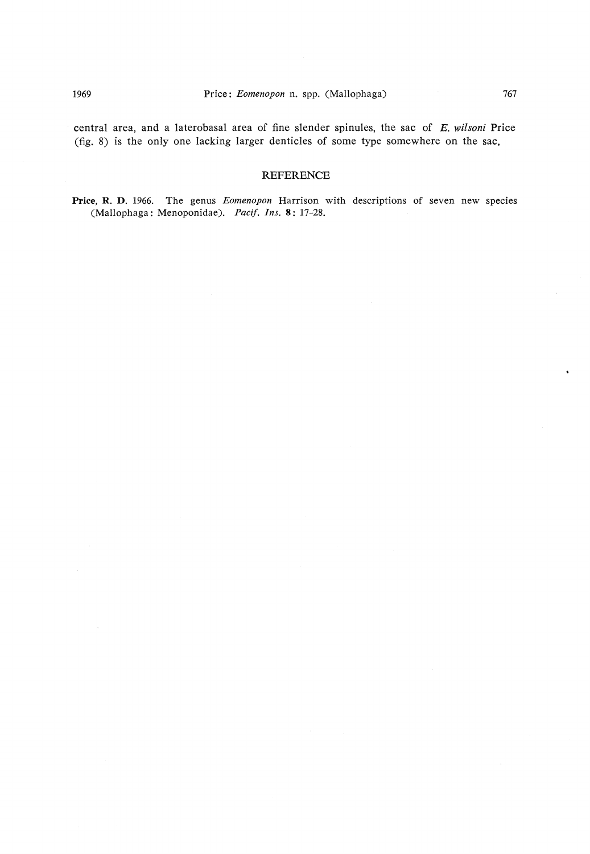central area, and a laterobasal area of fine slender spinules, the sac of *E. wilsoni* Price (fig. 8) is the only one lacking larger denticles of some type somewhere on the sac,

# REFERENCE

Price, R. D. 1966. The genus *Eomenopon* Harrison with descriptions of seven new species (Mallophaga: Menoponidae). *Pacif. Ins.* 8: 17-28.